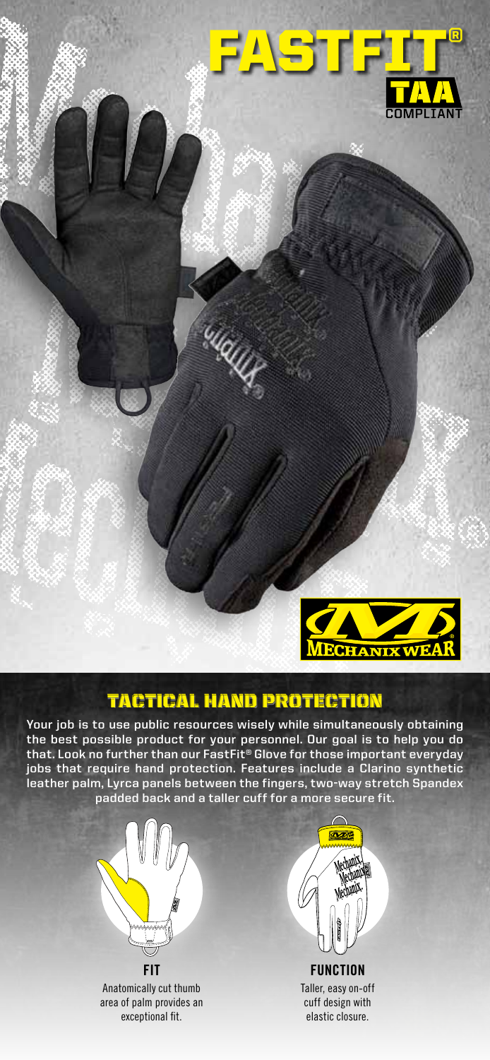



# tactical hand protection

**Your job is to use public resources wisely while simultaneously obtaining the best possible product for your personnel. Our goal is to help you do that. Look no further than our FastFit® Glove for those important everyday jobs that require hand protection. Features include a Clarino synthetic leather palm, Lyrca panels between the fingers, two-way stretch Spandex padded back and a taller cuff for a more secure fit.**



Anatomically cut thumb area of palm provides an exceptional fit.



Taller, easy on-off cuff design with elastic closure.